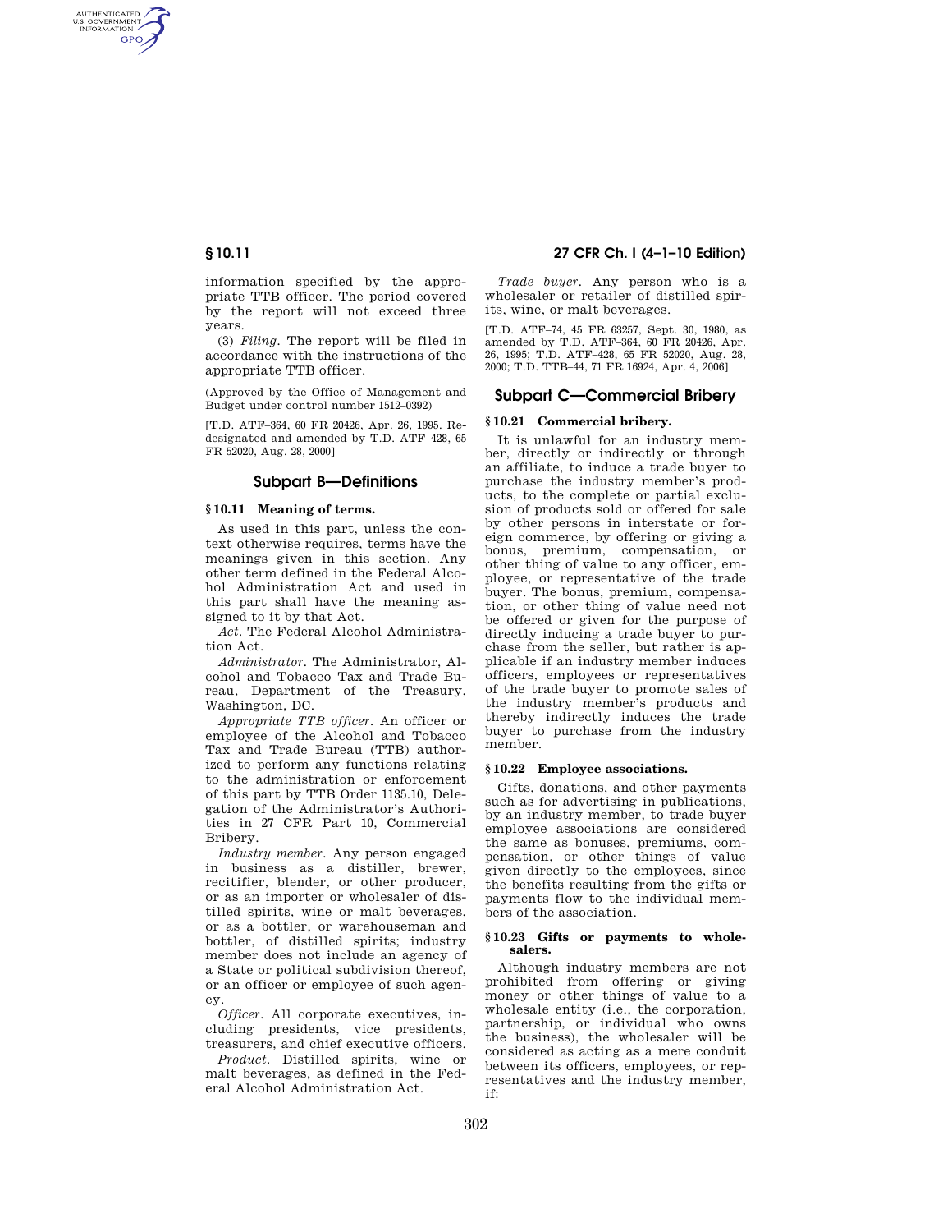AUTHENTICATED<br>U.S. GOVERNMENT<br>INFORMATION **GPO** 

> information specified by the appropriate TTB officer. The period covered by the report will not exceed three years.

> (3) *Filing.* The report will be filed in accordance with the instructions of the appropriate TTB officer.

> (Approved by the Office of Management and Budget under control number 1512–0392)

> [T.D. ATF–364, 60 FR 20426, Apr. 26, 1995. Redesignated and amended by T.D. ATF–428, 65 FR 52020, Aug. 28, 2000]

#### **Subpart B—Definitions**

#### **§ 10.11 Meaning of terms.**

As used in this part, unless the context otherwise requires, terms have the meanings given in this section. Any other term defined in the Federal Alcohol Administration Act and used in this part shall have the meaning assigned to it by that Act.

*Act.* The Federal Alcohol Administration Act.

*Administrator.* The Administrator, Alcohol and Tobacco Tax and Trade Bureau, Department of the Treasury, Washington, DC.

*Appropriate TTB officer.* An officer or employee of the Alcohol and Tobacco Tax and Trade Bureau (TTB) authorized to perform any functions relating to the administration or enforcement of this part by TTB Order 1135.10, Delegation of the Administrator's Authorities in 27 CFR Part 10, Commercial Bribery.

*Industry member.* Any person engaged in business as a distiller, brewer, recitifier, blender, or other producer, or as an importer or wholesaler of distilled spirits, wine or malt beverages, or as a bottler, or warehouseman and bottler, of distilled spirits; industry member does not include an agency of a State or political subdivision thereof, or an officer or employee of such agency.

*Officer.* All corporate executives, including presidents, vice presidents, treasurers, and chief executive officers.

*Product.* Distilled spirits, wine or malt beverages, as defined in the Federal Alcohol Administration Act.

# **§ 10.11 27 CFR Ch. I (4–1–10 Edition)**

*Trade buyer.* Any person who is a wholesaler or retailer of distilled spirits, wine, or malt beverages.

[T.D. ATF–74, 45 FR 63257, Sept. 30, 1980, as amended by T.D. ATF–364, 60 FR 20426, Apr. 26, 1995; T.D. ATF–428, 65 FR 52020, Aug. 28, 2000; T.D. TTB–44, 71 FR 16924, Apr. 4, 2006]

# **Subpart C—Commercial Bribery**

#### **§ 10.21 Commercial bribery.**

It is unlawful for an industry member, directly or indirectly or through an affiliate, to induce a trade buyer to purchase the industry member's products, to the complete or partial exclusion of products sold or offered for sale by other persons in interstate or foreign commerce, by offering or giving a bonus, premium, compensation, or other thing of value to any officer, employee, or representative of the trade buyer. The bonus, premium, compensation, or other thing of value need not be offered or given for the purpose of directly inducing a trade buyer to purchase from the seller, but rather is applicable if an industry member induces officers, employees or representatives of the trade buyer to promote sales of the industry member's products and thereby indirectly induces the trade buyer to purchase from the industry member.

# **§ 10.22 Employee associations.**

Gifts, donations, and other payments such as for advertising in publications, by an industry member, to trade buyer employee associations are considered the same as bonuses, premiums, compensation, or other things of value given directly to the employees, since the benefits resulting from the gifts or payments flow to the individual members of the association.

# **§ 10.23 Gifts or payments to wholesalers.**

Although industry members are not prohibited from offering or giving money or other things of value to a wholesale entity (i.e., the corporation, partnership, or individual who owns the business), the wholesaler will be considered as acting as a mere conduit between its officers, employees, or representatives and the industry member, if: